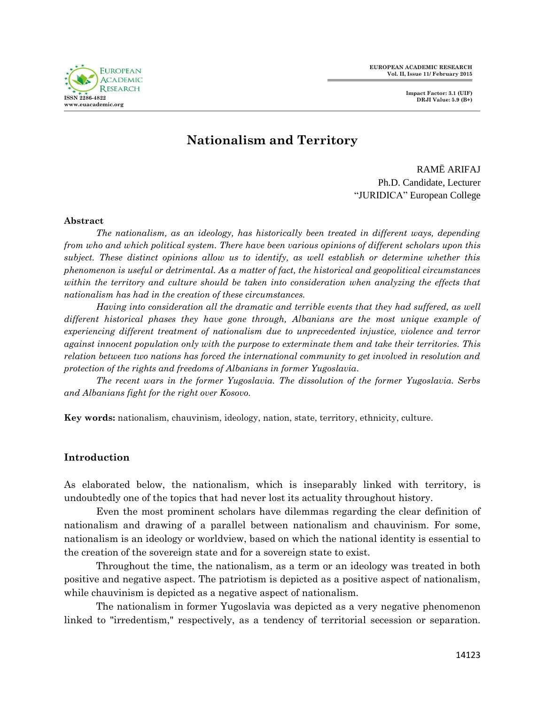**EUROPEAN ACADEMIC RESEARCH Vol. II, Issue 11/ February 2015**

**Impact Factor: 3.1 (UIF) DRJI Value: 5.9 (B+)**



# **Nationalism and Territory**

 RAMË ARIFAJ Ph.D. Candidate, Lecturer "JURIDICA" European College

#### **Abstract**

*The nationalism, as an ideology, has historically been treated in different ways, depending from who and which political system. There have been various opinions of different scholars upon this subject. These distinct opinions allow us to identify, as well establish or determine whether this phenomenon is useful or detrimental. As a matter of fact, the historical and geopolitical circumstances within the territory and culture should be taken into consideration when analyzing the effects that nationalism has had in the creation of these circumstances.* 

*Having into consideration all the dramatic and terrible events that they had suffered, as well different historical phases they have gone through, Albanians are the most unique example of experiencing different treatment of nationalism due to unprecedented injustice, violence and terror against innocent population only with the purpose to exterminate them and take their territories. This relation between two nations has forced the international community to get involved in resolution and protection of the rights and freedoms of Albanians in former Yugoslavia.* 

*The recent wars in the former Yugoslavia. The dissolution of the former Yugoslavia. Serbs and Albanians fight for the right over Kosovo.*

**Key words:** nationalism, chauvinism, ideology, nation, state, territory, ethnicity, culture.

### **Introduction**

As elaborated below, the nationalism, which is inseparably linked with territory, is undoubtedly one of the topics that had never lost its actuality throughout history.

Even the most prominent scholars have dilemmas regarding the clear definition of nationalism and drawing of a parallel between nationalism and chauvinism. For some, nationalism is an ideology or worldview, based on which the national identity is essential to the creation of the sovereign state and for a sovereign state to exist.

Throughout the time, the nationalism, as a term or an ideology was treated in both positive and negative aspect. The patriotism is depicted as a positive aspect of nationalism, while chauvinism is depicted as a negative aspect of nationalism.

The nationalism in former Yugoslavia was depicted as a very negative phenomenon linked to "irredentism," respectively, as a tendency of territorial secession or separation.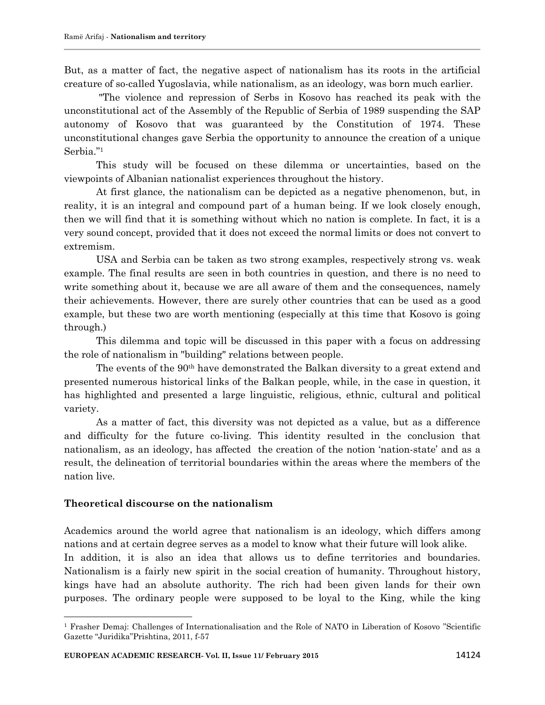But, as a matter of fact, the negative aspect of nationalism has its roots in the artificial creature of so-called Yugoslavia, while nationalism, as an ideology, was born much earlier.

"The violence and repression of Serbs in Kosovo has reached its peak with the unconstitutional act of the Assembly of the Republic of Serbia of 1989 suspending the SAP autonomy of Kosovo that was guaranteed by the Constitution of 1974. These unconstitutional changes gave Serbia the opportunity to announce the creation of a unique Serbia."<sup>1</sup>

This study will be focused on these dilemma or uncertainties, based on the viewpoints of Albanian nationalist experiences throughout the history.

At first glance, the nationalism can be depicted as a negative phenomenon, but, in reality, it is an integral and compound part of a human being. If we look closely enough, then we will find that it is something without which no nation is complete. In fact, it is a very sound concept, provided that it does not exceed the normal limits or does not convert to extremism.

USA and Serbia can be taken as two strong examples, respectively strong vs. weak example. The final results are seen in both countries in question, and there is no need to write something about it, because we are all aware of them and the consequences, namely their achievements. However, there are surely other countries that can be used as a good example, but these two are worth mentioning (especially at this time that Kosovo is going through.)

This dilemma and topic will be discussed in this paper with a focus on addressing the role of nationalism in "building" relations between people.

The events of the 90th have demonstrated the Balkan diversity to a great extend and presented numerous historical links of the Balkan people, while, in the case in question, it has highlighted and presented a large linguistic, religious, ethnic, cultural and political variety.

As a matter of fact, this diversity was not depicted as a value, but as a difference and difficulty for the future co-living. This identity resulted in the conclusion that nationalism, as an ideology, has affected the creation of the notion "nation-state" and as a result, the delineation of territorial boundaries within the areas where the members of the nation live.

## **Theoretical discourse on the nationalism**

 $\overline{\phantom{a}}$ 

Academics around the world agree that nationalism is an ideology, which differs among nations and at certain degree serves as a model to know what their future will look alike. In addition, it is also an idea that allows us to define territories and boundaries. Nationalism is a fairly new spirit in the social creation of humanity. Throughout history, kings have had an absolute authority. The rich had been given lands for their own purposes. The ordinary people were supposed to be loyal to the King, while the king

<sup>1</sup> Frasher Demaj: Challenges of Internationalisation and the Role of NATO in Liberation of Kosovo "Scientific Gazette "Juridika"Prishtina, 2011, f-57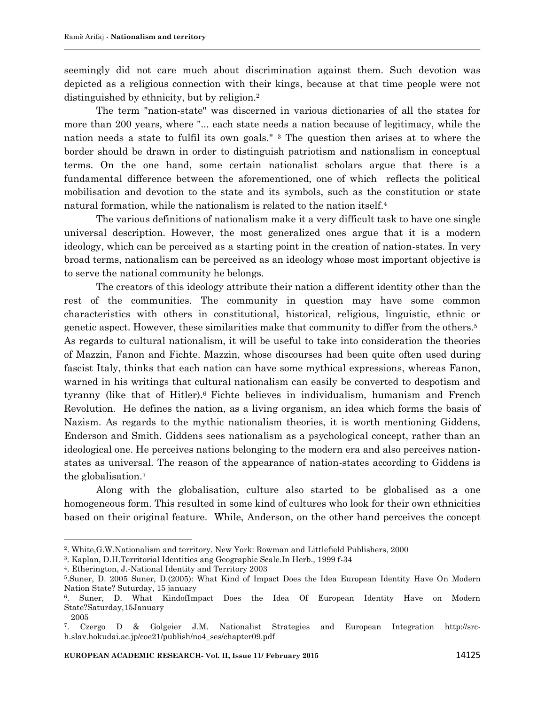seemingly did not care much about discrimination against them. Such devotion was depicted as a religious connection with their kings, because at that time people were not distinguished by ethnicity, but by religion.<sup>2</sup>

The term "nation-state" was discerned in various dictionaries of all the states for more than 200 years, where "... each state needs a nation because of legitimacy, while the nation needs a state to fulfil its own goals." <sup>3</sup> The question then arises at to where the border should be drawn in order to distinguish patriotism and nationalism in conceptual terms. On the one hand, some certain nationalist scholars argue that there is a fundamental difference between the aforementioned, one of which reflects the political mobilisation and devotion to the state and its symbols, such as the constitution or state natural formation, while the nationalism is related to the nation itself.<sup>4</sup>

The various definitions of nationalism make it a very difficult task to have one single universal description. However, the most generalized ones argue that it is a modern ideology, which can be perceived as a starting point in the creation of nation-states. In very broad terms, nationalism can be perceived as an ideology whose most important objective is to serve the national community he belongs.

The creators of this ideology attribute their nation a different identity other than the rest of the communities. The community in question may have some common characteristics with others in constitutional, historical, religious, linguistic, ethnic or genetic aspect. However, these similarities make that community to differ from the others.<sup>5</sup> As regards to cultural nationalism, it will be useful to take into consideration the theories of Mazzin, Fanon and Fichte. Mazzin, whose discourses had been quite often used during fascist Italy, thinks that each nation can have some mythical expressions, whereas Fanon, warned in his writings that cultural nationalism can easily be converted to despotism and tyranny (like that of Hitler).<sup>6</sup> Fichte believes in individualism, humanism and French Revolution. He defines the nation, as a living organism, an idea which forms the basis of Nazism. As regards to the mythic nationalism theories, it is worth mentioning Giddens, Enderson and Smith. Giddens sees nationalism as a psychological concept, rather than an ideological one. He perceives nations belonging to the modern era and also perceives nationstates as universal. The reason of the appearance of nation-states according to Giddens is the globalisation.<sup>7</sup>

Along with the globalisation, culture also started to be globalised as a one homogeneous form. This resulted in some kind of cultures who look for their own ethnicities based on their original feature. While, Anderson, on the other hand perceives the concept

 $\overline{\phantom{a}}$ 

<sup>2</sup> . White,G.W.Nationalism and territory. New York: Rowman and Littlefield Publishers, 2000

<sup>3</sup> . Kaplan, D.H.Territorial Identities ang Geographic Scale.In Herb., 1999 f-34

<sup>4</sup> . Etherington, J.-National Identity and Territory 2003

<sup>5</sup> .Suner, D. 2005 Suner, D.(2005): What Kind of Impact Does the Idea European Identity Have On Modern Nation State? Suturday, 15 january

<sup>6</sup> . Suner, D. What KindofImpact Does the Idea Of European Identity Have on Modern State?Saturday,15January 2005

<sup>7</sup> . Czergo D & Golgeier J.M. Nationalist Strategies and European Integration http://srch.slav.hokudai.ac.jp/coe21/publish/no4\_ses/chapter09.pdf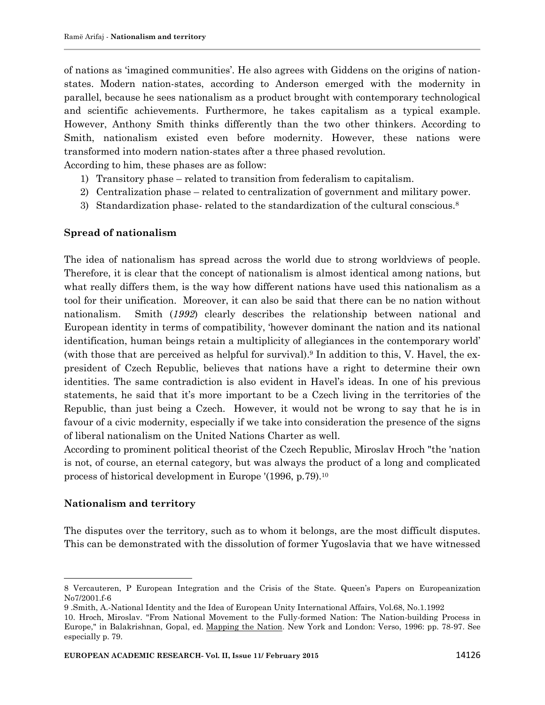of nations as "imagined communities". He also agrees with Giddens on the origins of nationstates. Modern nation-states, according to Anderson emerged with the modernity in parallel, because he sees nationalism as a product brought with contemporary technological and scientific achievements. Furthermore, he takes capitalism as a typical example. However, Anthony Smith thinks differently than the two other thinkers. According to Smith, nationalism existed even before modernity. However, these nations were transformed into modern nation-states after a three phased revolution.

According to him, these phases are as follow:

- 1) Transitory phase related to transition from federalism to capitalism.
- 2) Centralization phase related to centralization of government and military power.
- 3) Standardization phase-related to the standardization of the cultural conscious.<sup>8</sup>

### **Spread of nationalism**

The idea of nationalism has spread across the world due to strong worldviews of people. Therefore, it is clear that the concept of nationalism is almost identical among nations, but what really differs them, is the way how different nations have used this nationalism as a tool for their unification. Moreover, it can also be said that there can be no nation without nationalism. Smith (*1992*) clearly describes the relationship between national and European identity in terms of compatibility, "however dominant the nation and its national identification, human beings retain a multiplicity of allegiances in the contemporary world" (with those that are perceived as helpful for survival). <sup>9</sup> In addition to this, V. Havel, the expresident of Czech Republic, believes that nations have a right to determine their own identities. The same contradiction is also evident in Havel"s ideas. In one of his previous statements, he said that it's more important to be a Czech living in the territories of the Republic, than just being a Czech. However, it would not be wrong to say that he is in favour of a civic modernity, especially if we take into consideration the presence of the signs of liberal nationalism on the United Nations Charter as well.

According to prominent political theorist of the Czech Republic, Miroslav Hroch "the 'nation is not, of course, an eternal category, but was always the product of a long and complicated process of historical development in Europe '(1996, p.79).<sup>10</sup>

### **Nationalism and territory**

 $\overline{a}$ 

The disputes over the territory, such as to whom it belongs, are the most difficult disputes. This can be demonstrated with the dissolution of former Yugoslavia that we have witnessed

<sup>8</sup> Vercauteren, P European Integration and the Crisis of the State. Queen"s Papers on Europeanization No7/2001.f-6

<sup>9</sup> .Smith, A.-National Identity and the Idea of European Unity International Affairs, Vol.68, No.1.1992

<sup>10.</sup> Hroch, Miroslav. "From National Movement to the Fully-formed Nation: The Nation-building Process in Europe," in Balakrishnan, Gopal, ed. Mapping the Nation. New York and London: Verso, 1996: pp. 78-97. See especially p. 79.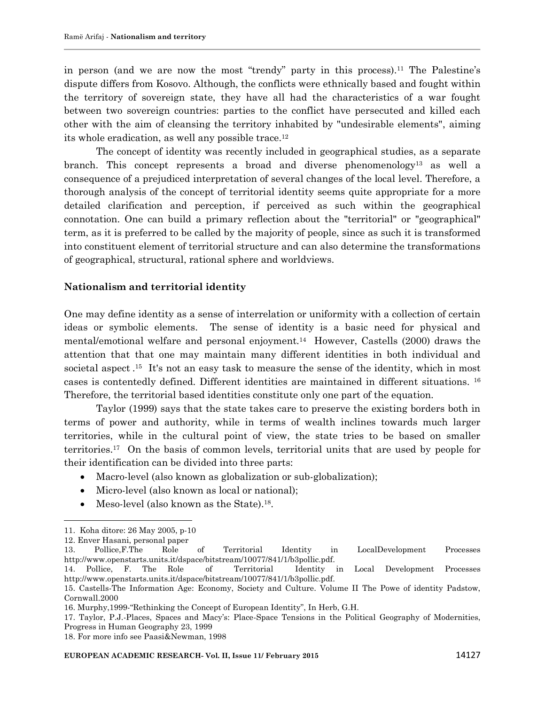in person (and we are now the most "trendy" party in this process).<sup>11</sup> The Palestine's dispute differs from Kosovo. Although, the conflicts were ethnically based and fought within the territory of sovereign state, they have all had the characteristics of a war fought between two sovereign countries: parties to the conflict have persecuted and killed each other with the aim of cleansing the territory inhabited by "undesirable elements", aiming its whole eradication, as well any possible trace.<sup>12</sup>

The concept of identity was recently included in geographical studies, as a separate branch. This concept represents a broad and diverse phenomenology<sup>13</sup> as well a consequence of a prejudiced interpretation of several changes of the local level. Therefore, a thorough analysis of the concept of territorial identity seems quite appropriate for a more detailed clarification and perception, if perceived as such within the geographical connotation. One can build a primary reflection about the "territorial" or "geographical" term, as it is preferred to be called by the majority of people, since as such it is transformed into constituent element of territorial structure and can also determine the transformations of geographical, structural, rational sphere and worldviews.

### **Nationalism and territorial identity**

One may define identity as a sense of interrelation or uniformity with a collection of certain ideas or symbolic elements. The sense of identity is a basic need for physical and mental/emotional welfare and personal enjoyment.<sup>14</sup> However, Castells (2000) draws the attention that that one may maintain many different identities in both individual and societal aspect  $.15$  It's not an easy task to measure the sense of the identity, which in most cases is contentedly defined. Different identities are maintained in different situations. <sup>16</sup> Therefore, the territorial based identities constitute only one part of the equation.

Taylor (1999) says that the state takes care to preserve the existing borders both in terms of power and authority, while in terms of wealth inclines towards much larger territories, while in the cultural point of view, the state tries to be based on smaller territories.<sup>17</sup> On the basis of common levels, territorial units that are used by people for their identification can be divided into three parts:

- Macro-level (also known as globalization or sub-globalization);
- Micro-level (also known as local or national);
- Meso-level (also known as the State).<sup>18</sup>.

 $\overline{\phantom{a}}$ 

<sup>11.</sup> Koha ditore: 26 May 2005, p-10

<sup>12.</sup> Enver Hasani, personal paper

<sup>13.</sup> Pollice,F.The Role of Territorial Identity in LocalDevelopment Processes http://www.openstarts.units.it/dspace/bitstream/10077/841/1/b3pollic.pdf.

<sup>14.</sup> Pollice, F. The Role of Territorial Identity in Local Development Processes http://www.openstarts.units.it/dspace/bitstream/10077/841/1/b3pollic.pdf.

<sup>15.</sup> Castells-The Information Age: Economy, Society and Culture. Volume II The Powe of identity Padstow, Cornwall.2000

<sup>16.</sup> Murphy,1999-"Rethinking the Concept of European Identity", In Herb, G.H.

<sup>17.</sup> Taylor, P.J.-Places, Spaces and Macy"s: Place-Space Tensions in the Political Geography of Modernities, Progress in Human Geography 23, 1999

<sup>18.</sup> For more info see Paasi&Newman, 1998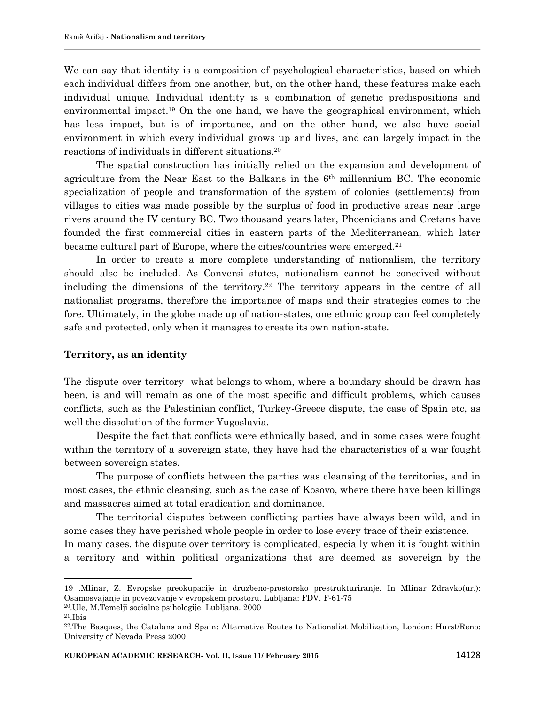We can say that identity is a composition of psychological characteristics, based on which each individual differs from one another, but, on the other hand, these features make each individual unique. Individual identity is a combination of genetic predispositions and environmental impact.<sup>19</sup> On the one hand, we have the geographical environment, which has less impact, but is of importance, and on the other hand, we also have social environment in which every individual grows up and lives, and can largely impact in the reactions of individuals in different situations.<sup>20</sup>

The spatial construction has initially relied on the expansion and development of agriculture from the Near East to the Balkans in the 6th millennium BC. The economic specialization of people and transformation of the system of colonies (settlements) from villages to cities was made possible by the surplus of food in productive areas near large rivers around the IV century BC. Two thousand years later, Phoenicians and Cretans have founded the first commercial cities in eastern parts of the Mediterranean, which later became cultural part of Europe, where the cities/countries were emerged.<sup>21</sup>

In order to create a more complete understanding of nationalism, the territory should also be included. As Conversi states, nationalism cannot be conceived without including the dimensions of the territory. <sup>22</sup> The territory appears in the centre of all nationalist programs, therefore the importance of maps and their strategies comes to the fore. Ultimately, in the globe made up of nation-states, one ethnic group can feel completely safe and protected, only when it manages to create its own nation-state.

#### **Territory, as an identity**

The dispute over territory what belongs to whom, where a boundary should be drawn has been, is and will remain as one of the most specific and difficult problems, which causes conflicts, such as the Palestinian conflict, Turkey-Greece dispute, the case of Spain etc, as well the dissolution of the former Yugoslavia.

Despite the fact that conflicts were ethnically based, and in some cases were fought within the territory of a sovereign state, they have had the characteristics of a war fought between sovereign states.

The purpose of conflicts between the parties was cleansing of the territories, and in most cases, the ethnic cleansing, such as the case of Kosovo, where there have been killings and massacres aimed at total eradication and dominance.

The territorial disputes between conflicting parties have always been wild, and in some cases they have perished whole people in order to lose every trace of their existence. In many cases, the dispute over territory is complicated, especially when it is fought within a territory and within political organizations that are deemed as sovereign by the

<sup>20</sup>.Ule, M.Temelji socialne psihologije. Lubljana. 2000

 $\overline{a}$ 

<sup>19</sup> .Mlinar, Z. Evropske preokupacije in druzbeno-prostorsko prestrukturiranje. In Mlinar Zdravko(ur.): Osamosvajanje in povezovanje v evropskem prostoru. Lubljana: FDV. F-61-75

 $21$ . Ibis

<sup>22</sup> .The Basques, the Catalans and Spain: Alternative Routes to Nationalist Mobilization, London: Hurst/Reno: University of Nevada Press 2000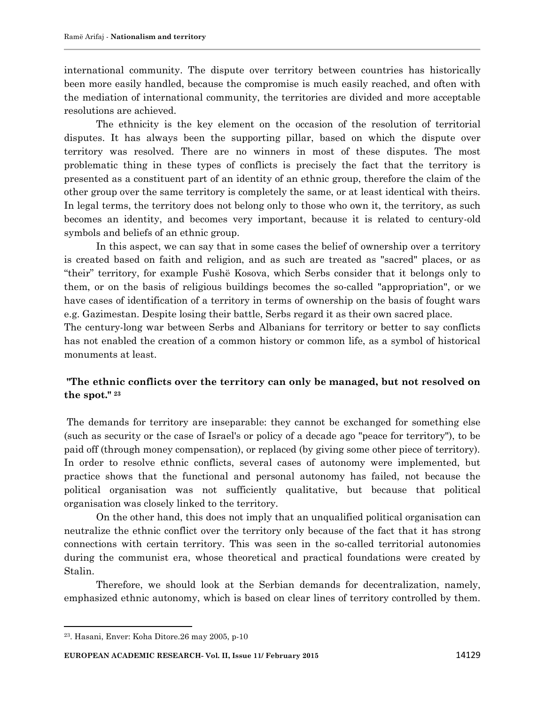international community. The dispute over territory between countries has historically been more easily handled, because the compromise is much easily reached, and often with the mediation of international community, the territories are divided and more acceptable resolutions are achieved.

The ethnicity is the key element on the occasion of the resolution of territorial disputes. It has always been the supporting pillar, based on which the dispute over territory was resolved. There are no winners in most of these disputes. The most problematic thing in these types of conflicts is precisely the fact that the territory is presented as a constituent part of an identity of an ethnic group, therefore the claim of the other group over the same territory is completely the same, or at least identical with theirs. In legal terms, the territory does not belong only to those who own it, the territory, as such becomes an identity, and becomes very important, because it is related to century-old symbols and beliefs of an ethnic group.

In this aspect, we can say that in some cases the belief of ownership over a territory is created based on faith and religion, and as such are treated as "sacred" places, or as "their" territory, for example Fushë Kosova, which Serbs consider that it belongs only to them, or on the basis of religious buildings becomes the so-called "appropriation", or we have cases of identification of a territory in terms of ownership on the basis of fought wars e.g. Gazimestan. Despite losing their battle, Serbs regard it as their own sacred place.

The century-long war between Serbs and Albanians for territory or better to say conflicts has not enabled the creation of a common history or common life, as a symbol of historical monuments at least.

### **"The ethnic conflicts over the territory can only be managed, but not resolved on the spot." <sup>23</sup>**

The demands for territory are inseparable: they cannot be exchanged for something else (such as security or the case of Israel's or policy of a decade ago "peace for territory"), to be paid off (through money compensation), or replaced (by giving some other piece of territory). In order to resolve ethnic conflicts, several cases of autonomy were implemented, but practice shows that the functional and personal autonomy has failed, not because the political organisation was not sufficiently qualitative, but because that political organisation was closely linked to the territory.

On the other hand, this does not imply that an unqualified political organisation can neutralize the ethnic conflict over the territory only because of the fact that it has strong connections with certain territory. This was seen in the so-called territorial autonomies during the communist era, whose theoretical and practical foundations were created by Stalin.

Therefore, we should look at the Serbian demands for decentralization, namely, emphasized ethnic autonomy, which is based on clear lines of territory controlled by them.

 $\overline{\phantom{a}}$ 

<sup>23</sup> . Hasani, Enver: Koha Ditore.26 may 2005, p-10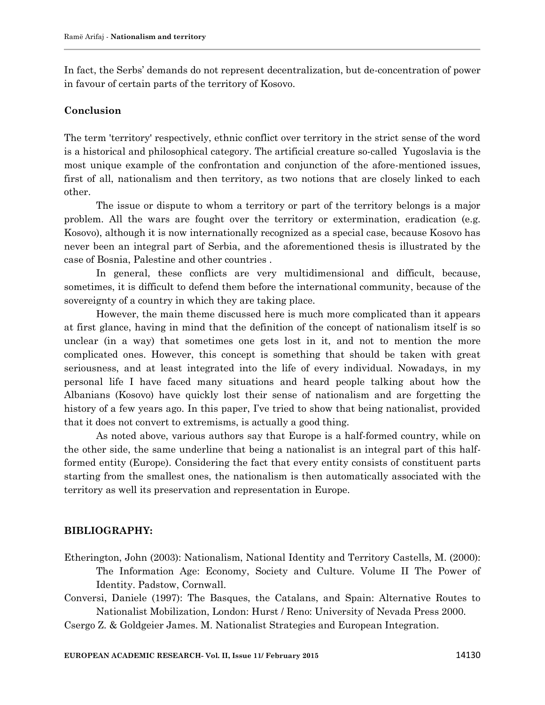In fact, the Serbs" demands do not represent decentralization, but de-concentration of power in favour of certain parts of the territory of Kosovo.

### **Conclusion**

The term 'territory' respectively, ethnic conflict over territory in the strict sense of the word is a historical and philosophical category. The artificial creature so-called Yugoslavia is the most unique example of the confrontation and conjunction of the afore-mentioned issues, first of all, nationalism and then territory, as two notions that are closely linked to each other.

The issue or dispute to whom a territory or part of the territory belongs is a major problem. All the wars are fought over the territory or extermination, eradication (e.g. Kosovo), although it is now internationally recognized as a special case, because Kosovo has never been an integral part of Serbia, and the aforementioned thesis is illustrated by the case of Bosnia, Palestine and other countries .

In general, these conflicts are very multidimensional and difficult, because, sometimes, it is difficult to defend them before the international community, because of the sovereignty of a country in which they are taking place.

However, the main theme discussed here is much more complicated than it appears at first glance, having in mind that the definition of the concept of nationalism itself is so unclear (in a way) that sometimes one gets lost in it, and not to mention the more complicated ones. However, this concept is something that should be taken with great seriousness, and at least integrated into the life of every individual. Nowadays, in my personal life I have faced many situations and heard people talking about how the Albanians (Kosovo) have quickly lost their sense of nationalism and are forgetting the history of a few years ago. In this paper, I've tried to show that being nationalist, provided that it does not convert to extremisms, is actually a good thing.

As noted above, various authors say that Europe is a half-formed country, while on the other side, the same underline that being a nationalist is an integral part of this halfformed entity (Europe). Considering the fact that every entity consists of constituent parts starting from the smallest ones, the nationalism is then automatically associated with the territory as well its preservation and representation in Europe.

#### **BIBLIOGRAPHY:**

- Etherington, John (2003): Nationalism, National Identity and Territory Castells, M. (2000): The Information Age: Economy, Society and Culture. Volume II The Power of Identity. Padstow, Cornwall.
- Conversi, Daniele (1997): The Basques, the Catalans, and Spain: Alternative Routes to Nationalist Mobilization, London: Hurst / Reno: University of Nevada Press 2000.

Csergo Z. & Goldgeier James. M. Nationalist Strategies and European Integration.